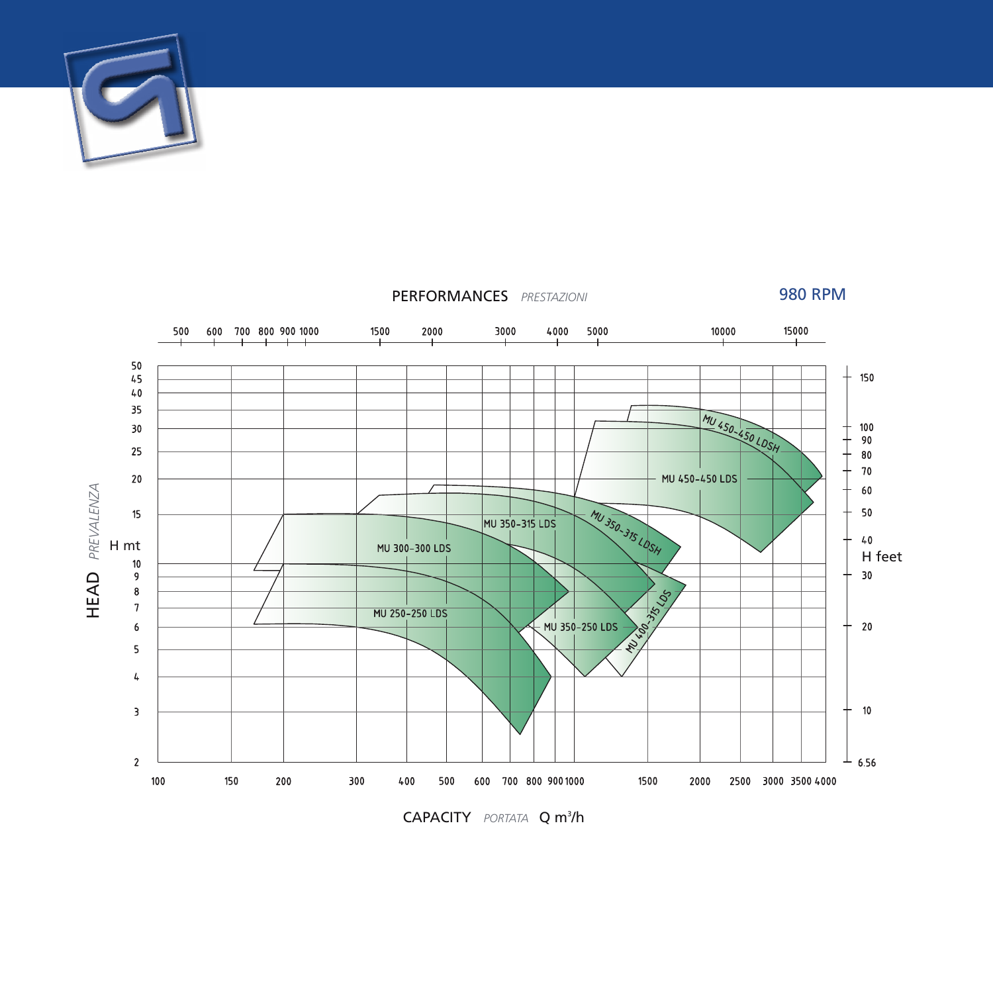



**CAPACITY** PORTATA **Q** m<sup>3</sup>/h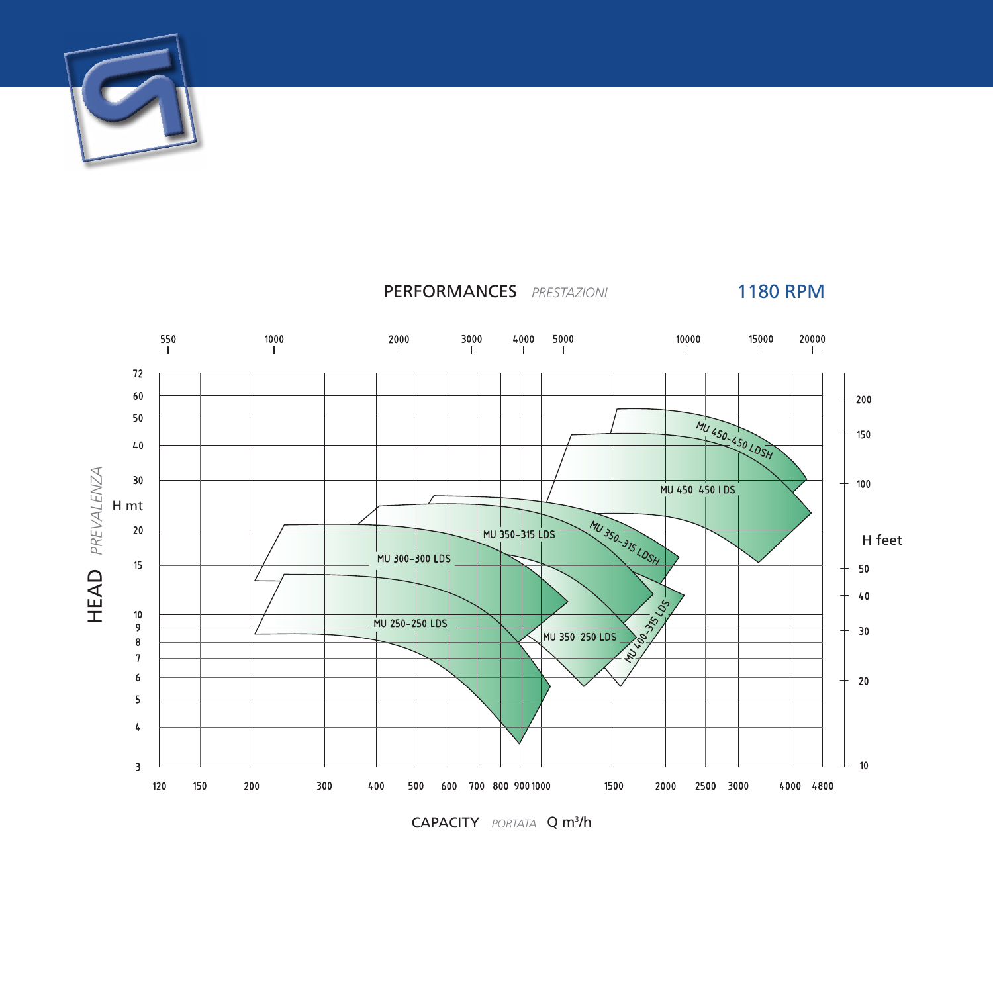



**CAPACITY** PORTATA **Q m<sup>3</sup>/h**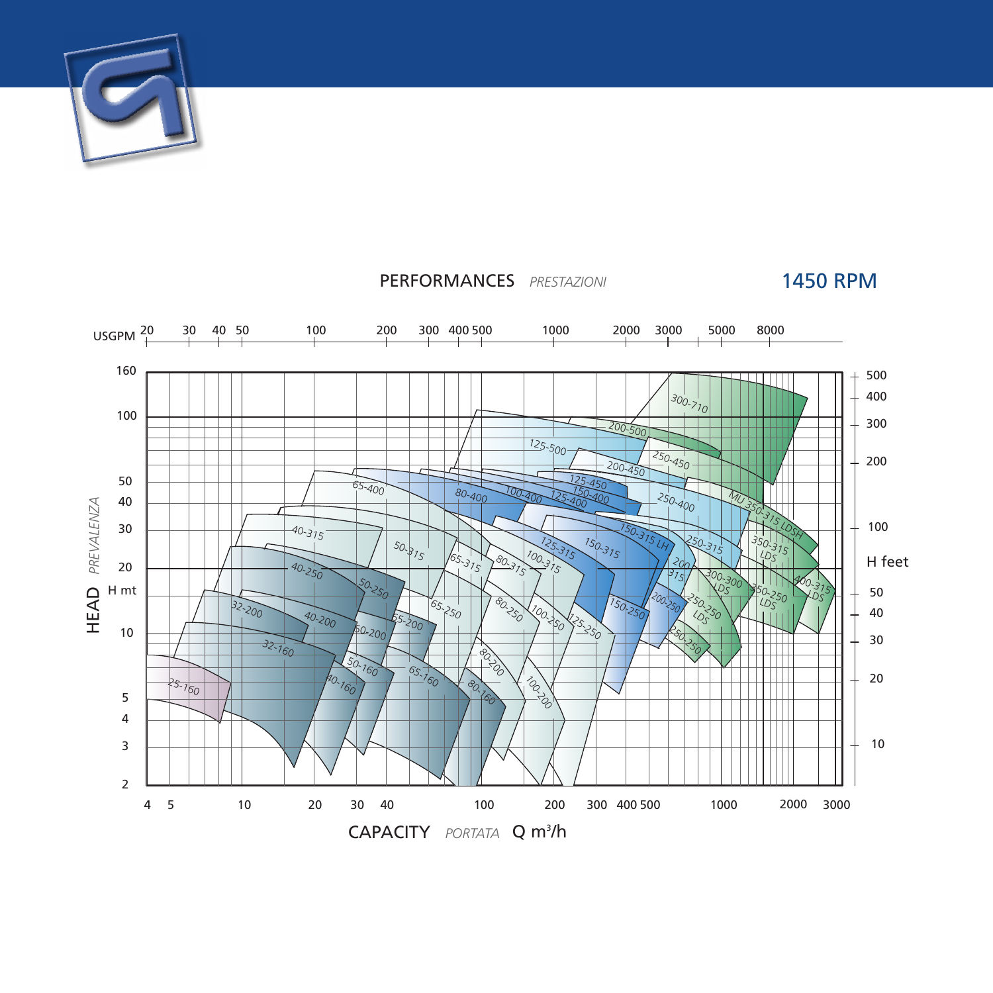



## PERFORMANCES *PRESTAZIONI*

1450 RPM